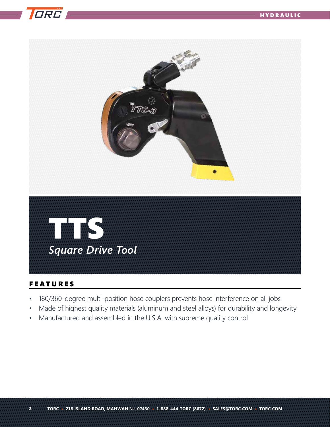



## FEATURES

- 180/360-degree multi-position hose couplers prevents hose interference on all jobs
- Made of highest quality materials (aluminum and steel alloys) for durability and longevity
- Manufactured and assembled in the U.S.A. with supreme quality control